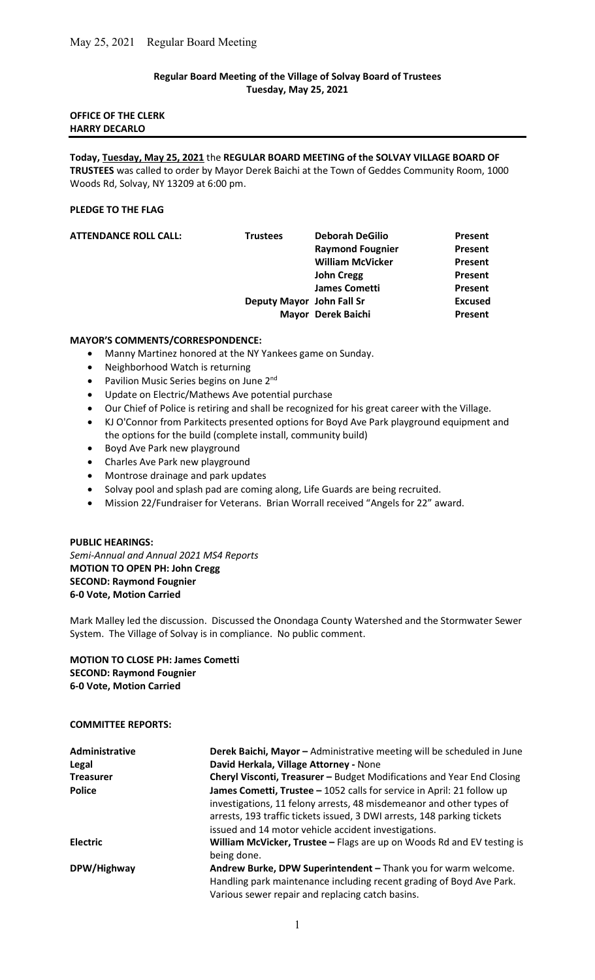# Regular Board Meeting of the Village of Solvay Board of Trustees Tuesday, May 25, 2021

# OFFICE OF THE CLERK HARRY DECARLO

Today, Tuesday, May 25, 2021 the REGULAR BOARD MEETING of the SOLVAY VILLAGE BOARD OF TRUSTEES was called to order by Mayor Derek Baichi at the Town of Geddes Community Room, 1000 Woods Rd, Solvay, NY 13209 at 6:00 pm.

## PLEDGE TO THE FLAG

| <b>ATTENDANCE ROLL CALL:</b> | <b>Trustees</b>           | <b>Deborah DeGilio</b>  | Present        |
|------------------------------|---------------------------|-------------------------|----------------|
|                              |                           | <b>Raymond Fougnier</b> | Present        |
|                              |                           | <b>William McVicker</b> | Present        |
|                              |                           | <b>John Cregg</b>       | Present        |
|                              |                           | <b>James Cometti</b>    | Present        |
|                              | Deputy Mayor John Fall Sr |                         | <b>Excused</b> |
|                              |                           | Mayor Derek Baichi      | Present        |
|                              |                           |                         |                |

## MAYOR'S COMMENTS/CORRESPONDENCE:

- Manny Martinez honored at the NY Yankees game on Sunday.
- Neighborhood Watch is returning
- Pavilion Music Series begins on June 2<sup>nd</sup>
- Update on Electric/Mathews Ave potential purchase
- Our Chief of Police is retiring and shall be recognized for his great career with the Village.
- KJ O'Connor from Parkitects presented options for Boyd Ave Park playground equipment and the options for the build (complete install, community build)
- Boyd Ave Park new playground
- Charles Ave Park new playground
- Montrose drainage and park updates
- Solvay pool and splash pad are coming along, Life Guards are being recruited.
- Mission 22/Fundraiser for Veterans. Brian Worrall received "Angels for 22" award.

# PUBLIC HEARINGS: Semi-Annual and Annual 2021 MS4 Reports MOTION TO OPEN PH: John Cregg SECOND: Raymond Fougnier

Mark Malley led the discussion. Discussed the Onondaga County Watershed and the Stormwater Sewer System. The Village of Solvay is in compliance. No public comment.

MOTION TO CLOSE PH: James Cometti SECOND: Raymond Fougnier 6-0 Vote, Motion Carried

# COMMITTEE REPORTS:

6-0 Vote, Motion Carried

| Administrative   | Derek Baichi, Mayor - Administrative meeting will be scheduled in June                                                                                                                                                    |
|------------------|---------------------------------------------------------------------------------------------------------------------------------------------------------------------------------------------------------------------------|
| Legal            | David Herkala, Village Attorney - None                                                                                                                                                                                    |
| <b>Treasurer</b> | Cheryl Visconti, Treasurer - Budget Modifications and Year End Closing                                                                                                                                                    |
| <b>Police</b>    | James Cometti, Trustee - 1052 calls for service in April: 21 follow up<br>investigations, 11 felony arrests, 48 misdemeanor and other types of<br>arrests, 193 traffic tickets issued, 3 DWI arrests, 148 parking tickets |
|                  | issued and 14 motor vehicle accident investigations.                                                                                                                                                                      |
| <b>Electric</b>  | William McVicker, Trustee - Flags are up on Woods Rd and EV testing is<br>being done.                                                                                                                                     |
| DPW/Highway      | Andrew Burke, DPW Superintendent - Thank you for warm welcome.<br>Handling park maintenance including recent grading of Boyd Ave Park.<br>Various sewer repair and replacing catch basins.                                |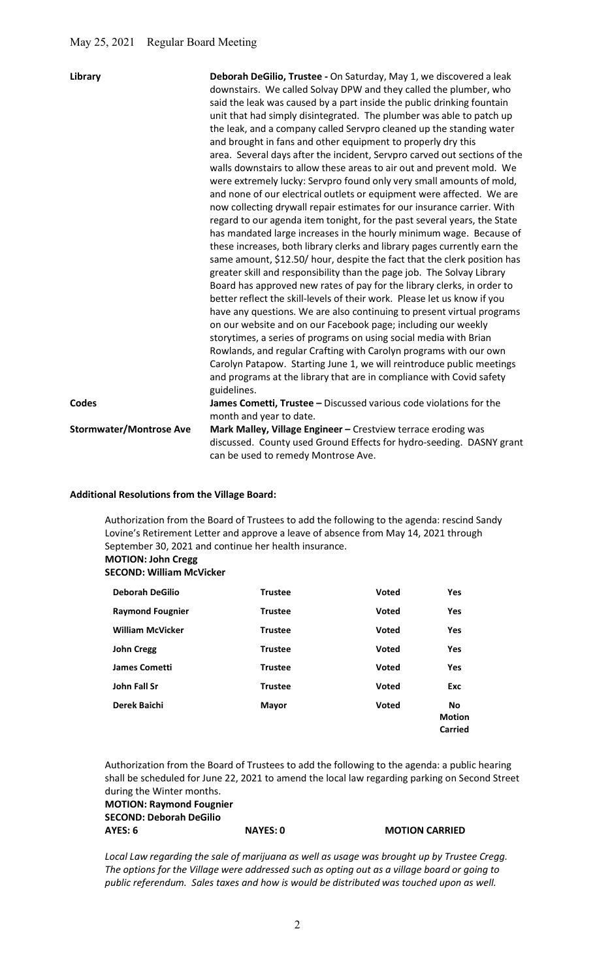| Library                        | Deborah DeGilio, Trustee - On Saturday, May 1, we discovered a leak<br>downstairs. We called Solvay DPW and they called the plumber, who<br>said the leak was caused by a part inside the public drinking fountain<br>unit that had simply disintegrated. The plumber was able to patch up<br>the leak, and a company called Servpro cleaned up the standing water<br>and brought in fans and other equipment to properly dry this<br>area. Several days after the incident, Servpro carved out sections of the<br>walls downstairs to allow these areas to air out and prevent mold. We<br>were extremely lucky: Servpro found only very small amounts of mold,<br>and none of our electrical outlets or equipment were affected. We are<br>now collecting drywall repair estimates for our insurance carrier. With<br>regard to our agenda item tonight, for the past several years, the State<br>has mandated large increases in the hourly minimum wage. Because of<br>these increases, both library clerks and library pages currently earn the<br>same amount, \$12.50/ hour, despite the fact that the clerk position has<br>greater skill and responsibility than the page job. The Solvay Library<br>Board has approved new rates of pay for the library clerks, in order to<br>better reflect the skill-levels of their work. Please let us know if you<br>have any questions. We are also continuing to present virtual programs<br>on our website and on our Facebook page; including our weekly<br>storytimes, a series of programs on using social media with Brian<br>Rowlands, and regular Crafting with Carolyn programs with our own<br>Carolyn Patapow. Starting June 1, we will reintroduce public meetings<br>and programs at the library that are in compliance with Covid safety<br>guidelines. |
|--------------------------------|------------------------------------------------------------------------------------------------------------------------------------------------------------------------------------------------------------------------------------------------------------------------------------------------------------------------------------------------------------------------------------------------------------------------------------------------------------------------------------------------------------------------------------------------------------------------------------------------------------------------------------------------------------------------------------------------------------------------------------------------------------------------------------------------------------------------------------------------------------------------------------------------------------------------------------------------------------------------------------------------------------------------------------------------------------------------------------------------------------------------------------------------------------------------------------------------------------------------------------------------------------------------------------------------------------------------------------------------------------------------------------------------------------------------------------------------------------------------------------------------------------------------------------------------------------------------------------------------------------------------------------------------------------------------------------------------------------------------------------------------------------------------------------------------------------------------|
| <b>Codes</b>                   | James Cometti, Trustee - Discussed various code violations for the<br>month and year to date.                                                                                                                                                                                                                                                                                                                                                                                                                                                                                                                                                                                                                                                                                                                                                                                                                                                                                                                                                                                                                                                                                                                                                                                                                                                                                                                                                                                                                                                                                                                                                                                                                                                                                                                          |
| <b>Stormwater/Montrose Ave</b> | Mark Malley, Village Engineer - Crestview terrace eroding was<br>discussed. County used Ground Effects for hydro-seeding. DASNY grant<br>can be used to remedy Montrose Ave.                                                                                                                                                                                                                                                                                                                                                                                                                                                                                                                                                                                                                                                                                                                                                                                                                                                                                                                                                                                                                                                                                                                                                                                                                                                                                                                                                                                                                                                                                                                                                                                                                                           |

## Additional Resolutions from the Village Board:

 Authorization from the Board of Trustees to add the following to the agenda: rescind Sandy Lovine's Retirement Letter and approve a leave of absence from May 14, 2021 through September 30, 2021 and continue her health insurance. MOTION: John Cregg

### SECOND: William McVicker

| <b>Deborah DeGilio</b>  | <b>Trustee</b> | <b>Voted</b> | <b>Yes</b>                                   |
|-------------------------|----------------|--------------|----------------------------------------------|
| <b>Raymond Fougnier</b> | <b>Trustee</b> | <b>Voted</b> | Yes                                          |
| <b>William McVicker</b> | <b>Trustee</b> | <b>Voted</b> | <b>Yes</b>                                   |
| <b>John Cregg</b>       | <b>Trustee</b> | <b>Voted</b> | Yes                                          |
| <b>James Cometti</b>    | <b>Trustee</b> | Voted        | Yes                                          |
| <b>John Fall Sr</b>     | <b>Trustee</b> | <b>Voted</b> | Exc                                          |
| Derek Baichi            | <b>Mayor</b>   | <b>Voted</b> | <b>No</b><br><b>Motion</b><br><b>Carried</b> |

 Authorization from the Board of Trustees to add the following to the agenda: a public hearing shall be scheduled for June 22, 2021 to amend the local law regarding parking on Second Street during the Winter months.

MOTION: Raymond Fougnier SECOND: Deborah DeGilio AYES: 6 NAYES: 0 NAYES: 0 MOTION CARRIED

Local Law regarding the sale of marijuana as well as usage was brought up by Trustee Cregg. The options for the Village were addressed such as opting out as a village board or going to public referendum. Sales taxes and how is would be distributed was touched upon as well.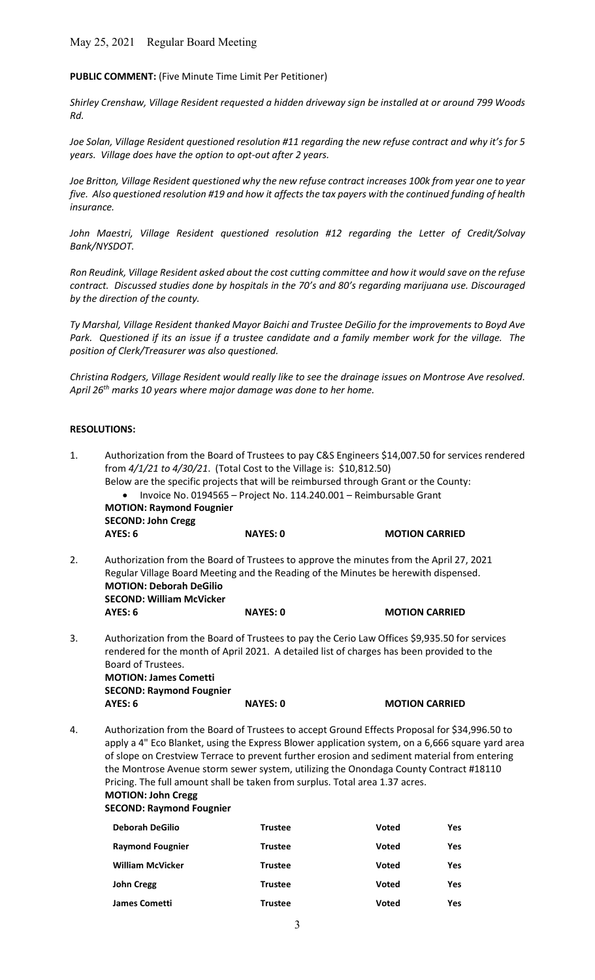# May 25, 2021 Regular Board Meeting

## PUBLIC COMMENT: (Five Minute Time Limit Per Petitioner)

Shirley Crenshaw, Village Resident requested a hidden driveway sign be installed at or around 799 Woods Rd.

Joe Solan, Village Resident questioned resolution #11 regarding the new refuse contract and why it's for 5 years. Village does have the option to opt-out after 2 years.

Joe Britton, Village Resident questioned why the new refuse contract increases 100k from year one to year five. Also questioned resolution #19 and how it affects the tax payers with the continued funding of health insurance.

John Maestri, Village Resident questioned resolution #12 regarding the Letter of Credit/Solvay Bank/NYSDOT.

Ron Reudink, Village Resident asked about the cost cutting committee and how it would save on the refuse contract. Discussed studies done by hospitals in the 70's and 80's regarding marijuana use. Discouraged by the direction of the county.

Ty Marshal, Village Resident thanked Mayor Baichi and Trustee DeGilio for the improvements to Boyd Ave Park. Questioned if its an issue if a trustee candidate and a family member work for the village. The position of Clerk/Treasurer was also questioned.

Christina Rodgers, Village Resident would really like to see the drainage issues on Montrose Ave resolved. April 26<sup>th</sup> marks 10 years where major damage was done to her home.

#### RESOLUTIONS:

| 1. | Authorization from the Board of Trustees to pay C&S Engineers \$14,007.50 for services rendered<br>from 4/1/21 to 4/30/21. (Total Cost to the Village is: \$10,812.50)<br>Below are the specific projects that will be reimbursed through Grant or the County:<br><b>MOTION: Raymond Fougnier</b><br><b>SECOND: John Cregg</b>                                                                                                                                                                                                             | Invoice No. 0194565 - Project No. 114.240.001 - Reimbursable Grant |                       |            |
|----|--------------------------------------------------------------------------------------------------------------------------------------------------------------------------------------------------------------------------------------------------------------------------------------------------------------------------------------------------------------------------------------------------------------------------------------------------------------------------------------------------------------------------------------------|--------------------------------------------------------------------|-----------------------|------------|
|    | AYES: 6                                                                                                                                                                                                                                                                                                                                                                                                                                                                                                                                    | <b>NAYES: 0</b>                                                    | <b>MOTION CARRIED</b> |            |
| 2. | Authorization from the Board of Trustees to approve the minutes from the April 27, 2021<br>Regular Village Board Meeting and the Reading of the Minutes be herewith dispensed.<br><b>MOTION: Deborah DeGilio</b><br><b>SECOND: William McVicker</b>                                                                                                                                                                                                                                                                                        |                                                                    |                       |            |
|    | AYES: 6                                                                                                                                                                                                                                                                                                                                                                                                                                                                                                                                    | <b>NAYES: 0</b>                                                    | <b>MOTION CARRIED</b> |            |
| 3. | Authorization from the Board of Trustees to pay the Cerio Law Offices \$9,935.50 for services<br>rendered for the month of April 2021. A detailed list of charges has been provided to the<br>Board of Trustees.<br><b>MOTION: James Cometti</b><br><b>SECOND: Raymond Fougnier</b><br>AYES: 6                                                                                                                                                                                                                                             | <b>NAYES: 0</b>                                                    | <b>MOTION CARRIED</b> |            |
|    |                                                                                                                                                                                                                                                                                                                                                                                                                                                                                                                                            |                                                                    |                       |            |
| 4. | Authorization from the Board of Trustees to accept Ground Effects Proposal for \$34,996.50 to<br>apply a 4" Eco Blanket, using the Express Blower application system, on a 6,666 square yard area<br>of slope on Crestview Terrace to prevent further erosion and sediment material from entering<br>the Montrose Avenue storm sewer system, utilizing the Onondaga County Contract #18110<br>Pricing. The full amount shall be taken from surplus. Total area 1.37 acres.<br><b>MOTION: John Cregg</b><br><b>SECOND: Raymond Fougnier</b> |                                                                    |                       |            |
|    | <b>Deborah DeGilio</b>                                                                                                                                                                                                                                                                                                                                                                                                                                                                                                                     | <b>Trustee</b>                                                     | <b>Voted</b>          | <b>Yes</b> |
|    | <b>Raymond Fougnier</b>                                                                                                                                                                                                                                                                                                                                                                                                                                                                                                                    | <b>Trustee</b>                                                     | <b>Voted</b>          | <b>Yes</b> |
|    | <b>William McVicker</b>                                                                                                                                                                                                                                                                                                                                                                                                                                                                                                                    | <b>Trustee</b>                                                     | <b>Voted</b>          | Yes        |
|    | <b>John Cregg</b>                                                                                                                                                                                                                                                                                                                                                                                                                                                                                                                          | <b>Trustee</b>                                                     | <b>Voted</b>          | <b>Yes</b> |

**James Cometti Trustee Cometti** Trustee Voted Yes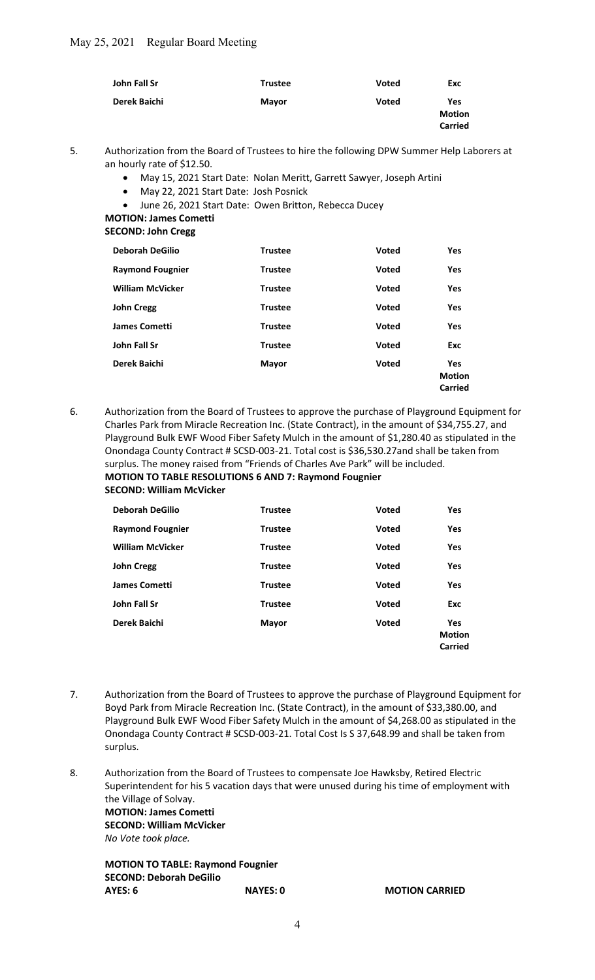| John Fall Sr | <b>Trustee</b> | <b>Voted</b> | Exc                                    |
|--------------|----------------|--------------|----------------------------------------|
| Derek Baichi | <b>Mayor</b>   | <b>Voted</b> | Yes<br><b>Motion</b><br><b>Carried</b> |

5. Authorization from the Board of Trustees to hire the following DPW Summer Help Laborers at an hourly rate of \$12.50.

- May 15, 2021 Start Date: Nolan Meritt, Garrett Sawyer, Joseph Artini
- May 22, 2021 Start Date: Josh Posnick
- June 26, 2021 Start Date: Owen Britton, Rebecca Ducey

MOTION: James Cometti

SECOND: John Cregg

| <b>Trustee</b> | Voted        | <b>Yes</b>                      |
|----------------|--------------|---------------------------------|
| <b>Trustee</b> | <b>Voted</b> | Yes                             |
| <b>Trustee</b> | <b>Voted</b> | <b>Yes</b>                      |
| <b>Trustee</b> | <b>Voted</b> | Yes                             |
| <b>Trustee</b> | Voted        | Yes                             |
| <b>Trustee</b> | Voted        | Exc                             |
| <b>Mayor</b>   | Voted        | Yes<br><b>Motion</b><br>Carried |
|                |              |                                 |

6. Authorization from the Board of Trustees to approve the purchase of Playground Equipment for Charles Park from Miracle Recreation Inc. (State Contract), in the amount of \$34,755.27, and Playground Bulk EWF Wood Fiber Safety Mulch in the amount of \$1,280.40 as stipulated in the Onondaga County Contract # SCSD-003-21. Total cost is \$36,530.27and shall be taken from surplus. The money raised from "Friends of Charles Ave Park" will be included. MOTION TO TABLE RESOLUTIONS 6 AND 7: Raymond Fougnier

SECOND: William McVicker

| <b>Deborah DeGilio</b>  | <b>Trustee</b> | <b>Voted</b> | <b>Yes</b>                  |
|-------------------------|----------------|--------------|-----------------------------|
| <b>Raymond Fougnier</b> | <b>Trustee</b> | <b>Voted</b> | Yes                         |
| <b>William McVicker</b> | <b>Trustee</b> | <b>Voted</b> | <b>Yes</b>                  |
| <b>John Cregg</b>       | <b>Trustee</b> | <b>Voted</b> | Yes                         |
| <b>James Cometti</b>    | <b>Trustee</b> | Voted        | <b>Yes</b>                  |
| John Fall Sr            | <b>Trustee</b> | Voted        | Exc                         |
| Derek Baichi            | <b>Mayor</b>   | Voted        | <b>Yes</b><br><b>Motion</b> |
|                         |                |              | Carried                     |

- 7. Authorization from the Board of Trustees to approve the purchase of Playground Equipment for Boyd Park from Miracle Recreation Inc. (State Contract), in the amount of \$33,380.00, and Playground Bulk EWF Wood Fiber Safety Mulch in the amount of \$4,268.00 as stipulated in the Onondaga County Contract # SCSD-003-21. Total Cost Is S 37,648.99 and shall be taken from surplus.
- 8. Authorization from the Board of Trustees to compensate Joe Hawksby, Retired Electric Superintendent for his 5 vacation days that were unused during his time of employment with the Village of Solvay. MOTION: James Cometti SECOND: William McVicker No Vote took place.

MOTION TO TABLE: Raymond Fougnier SECOND: Deborah DeGilio AYES: 6 NAYES: 0 MOTION CARRIED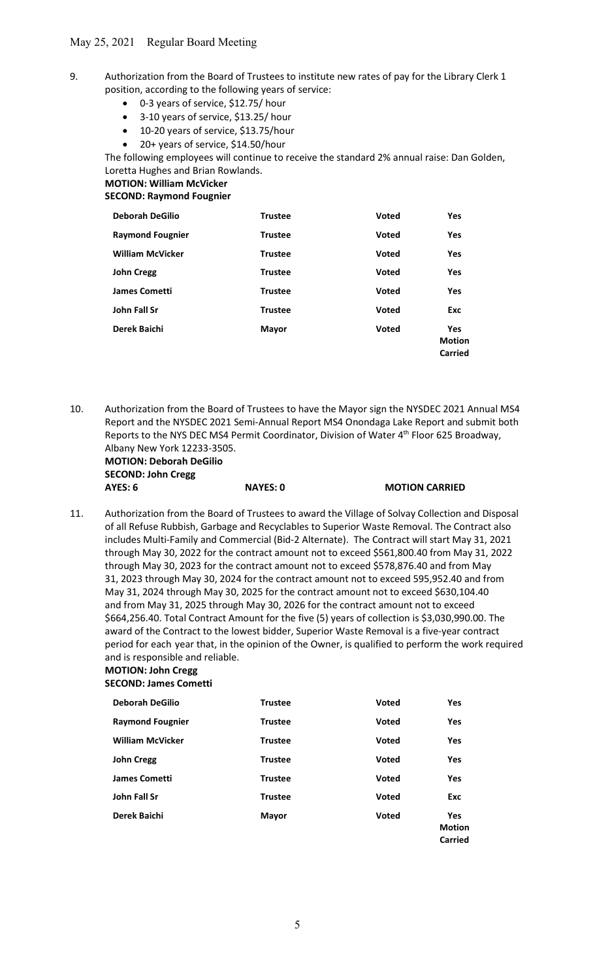# 9. Authorization from the Board of Trustees to institute new rates of pay for the Library Clerk 1 position, according to the following years of service:

- 0-3 years of service, \$12.75/ hour
- 3-10 years of service, \$13.25/ hour
- 10-20 years of service, \$13.75/hour
- 20+ years of service, \$14.50/hour

 The following employees will continue to receive the standard 2% annual raise: Dan Golden, Loretta Hughes and Brian Rowlands.

# MOTION: William McVicker

SECOND: Raymond Fougnier

| <b>Deborah DeGilio</b>  | <b>Trustee</b> | <b>Voted</b> | <b>Yes</b>                             |
|-------------------------|----------------|--------------|----------------------------------------|
| <b>Raymond Fougnier</b> | <b>Trustee</b> | <b>Voted</b> | Yes                                    |
| <b>William McVicker</b> | <b>Trustee</b> | <b>Voted</b> | Yes                                    |
| <b>John Cregg</b>       | <b>Trustee</b> | <b>Voted</b> | Yes                                    |
| <b>James Cometti</b>    | <b>Trustee</b> | <b>Voted</b> | Yes                                    |
| John Fall Sr            | <b>Trustee</b> | <b>Voted</b> | <b>Exc</b>                             |
| Derek Baichi            | <b>Mayor</b>   | <b>Voted</b> | <b>Yes</b><br><b>Motion</b><br>Carried |

10. Authorization from the Board of Trustees to have the Mayor sign the NYSDEC 2021 Annual MS4 Report and the NYSDEC 2021 Semi-Annual Report MS4 Onondaga Lake Report and submit both Reports to the NYS DEC MS4 Permit Coordinator, Division of Water 4<sup>th</sup> Floor 625 Broadway, Albany New York 12233-3505. MOTION: Deborah DeGilio

 SECOND: John Cregg AYES: 6 NAYES: 0 MOTION CARRIED

11. Authorization from the Board of Trustees to award the Village of Solvay Collection and Disposal of all Refuse Rubbish, Garbage and Recyclables to Superior Waste Removal. The Contract also includes Multi-Family and Commercial (Bid-2 Alternate). The Contract will start May 31, 2021 through May 30, 2022 for the contract amount not to exceed \$561,800.40 from May 31, 2022 through May 30, 2023 for the contract amount not to exceed \$578,876.40 and from May 31, 2023 through May 30, 2024 for the contract amount not to exceed 595,952.40 and from May 31, 2024 through May 30, 2025 for the contract amount not to exceed \$630,104.40 and from May 31, 2025 through May 30, 2026 for the contract amount not to exceed \$664,256.40. Total Contract Amount for the five (5) years of collection is \$3,030,990.00. The award of the Contract to the lowest bidder, Superior Waste Removal is a five-year contract period for each year that, in the opinion of the Owner, is qualified to perform the work required and is responsible and reliable.

# MOTION: John Cregg

# SECOND: James Cometti

| <b>Deborah DeGilio</b>  | <b>Trustee</b> | <b>Voted</b> | <b>Yes</b>                             |
|-------------------------|----------------|--------------|----------------------------------------|
| <b>Raymond Fougnier</b> | <b>Trustee</b> | <b>Voted</b> | Yes                                    |
| <b>William McVicker</b> | <b>Trustee</b> | <b>Voted</b> | <b>Yes</b>                             |
| <b>John Cregg</b>       | <b>Trustee</b> | <b>Voted</b> | <b>Yes</b>                             |
| <b>James Cometti</b>    | <b>Trustee</b> | <b>Voted</b> | Yes                                    |
| John Fall Sr            | <b>Trustee</b> | Voted        | <b>Exc</b>                             |
| Derek Baichi            | <b>Mayor</b>   | Voted        | <b>Yes</b><br><b>Motion</b><br>Carried |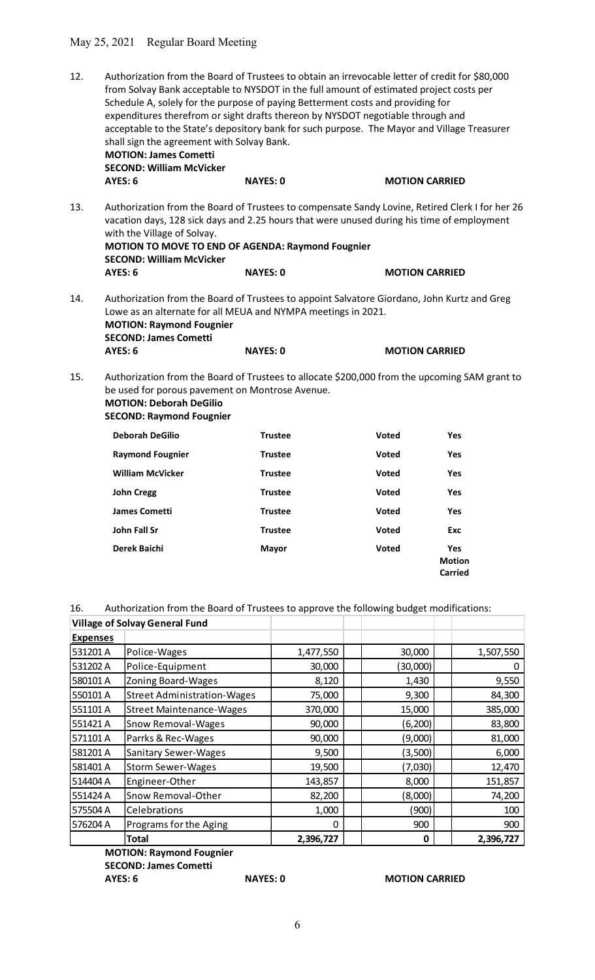## May 25, 2021 Regular Board Meeting

- 12. Authorization from the Board of Trustees to obtain an irrevocable letter of credit for \$80,000 from Solvay Bank acceptable to NYSDOT in the full amount of estimated project costs per Schedule A, solely for the purpose of paying Betterment costs and providing for expenditures therefrom or sight drafts thereon by NYSDOT negotiable through and acceptable to the State's depository bank for such purpose. The Mayor and Village Treasurer shall sign the agreement with Solvay Bank. MOTION: James Cometti SECOND: William McVicker AYES: 6 NAYES: 0 MOTION CARRIED
- 13. Authorization from the Board of Trustees to compensate Sandy Lovine, Retired Clerk I for her 26 vacation days, 128 sick days and 2.25 hours that were unused during his time of employment with the Village of Solvay. MOTION TO MOVE TO END OF AGENDA: Raymond Fougnier SECOND: William McVicker AYES: 6 NAYES: 0 MOTION CARRIED
- 14. Authorization from the Board of Trustees to appoint Salvatore Giordano, John Kurtz and Greg Lowe as an alternate for all MEUA and NYMPA meetings in 2021. MOTION: Raymond Fougnier SECOND: James Cometti AYES: 6 NAYES: 0 MOTION CARRIED
- 15. Authorization from the Board of Trustees to allocate \$200,000 from the upcoming SAM grant to be used for porous pavement on Montrose Avenue. MOTION: Deborah DeGilio

|                             | <b>SECOND: Raymond Fougnier</b>                                                         |                |              |                                        |           |
|-----------------------------|-----------------------------------------------------------------------------------------|----------------|--------------|----------------------------------------|-----------|
|                             | <b>Deborah DeGilio</b>                                                                  | <b>Trustee</b> | <b>Voted</b> | Yes                                    |           |
|                             | <b>Raymond Fougnier</b>                                                                 | <b>Trustee</b> | <b>Voted</b> | Yes                                    |           |
|                             | <b>William McVicker</b>                                                                 | <b>Trustee</b> | Voted        | Yes                                    |           |
|                             | <b>John Cregg</b>                                                                       | <b>Trustee</b> | Voted        | Yes                                    |           |
|                             | <b>James Cometti</b>                                                                    | <b>Trustee</b> | <b>Voted</b> | Yes                                    |           |
|                             | John Fall Sr                                                                            | <b>Trustee</b> | <b>Voted</b> | Exc                                    |           |
|                             | Derek Baichi                                                                            | <b>Mayor</b>   | Voted        | Yes<br><b>Motion</b><br><b>Carried</b> |           |
| 16.                         | Authorization from the Board of Trustees to approve the following budget modifications: |                |              |                                        |           |
|                             | <b>Village of Solvay General Fund</b>                                                   |                |              |                                        |           |
| <u>Expenses</u><br>531201 A | Police-Wages                                                                            | 1,477,550      | 30,000       |                                        | 1,507,550 |
| 531202 A                    | Police-Equipment                                                                        | 30,000         | (30,000)     |                                        | 0         |
| 580101 A                    | Zoning Board-Wages                                                                      | 8,120          | 1,430        |                                        | 9,550     |
| 550101 A                    | Street Administration-Wages                                                             | 75,000         | 9,300        |                                        | 84,300    |
| 551101 A                    | <b>Street Maintenance-Wages</b>                                                         | 370,000        | 15,000       |                                        | 385,000   |
| 551421 A                    | Snow Removal-Wages                                                                      | 90,000         | (6, 200)     |                                        | 83,800    |
| 571101 A                    | <b>Parrks &amp; Rec-Wages</b>                                                           | 90.000         | (9.000)      |                                        | 81,000    |

|                 | Denorali Degilio                                                                        | nustee         | voleu        | 15                                     |
|-----------------|-----------------------------------------------------------------------------------------|----------------|--------------|----------------------------------------|
|                 | <b>Raymond Fougnier</b>                                                                 | <b>Trustee</b> | <b>Voted</b> | Yes                                    |
|                 | <b>William McVicker</b>                                                                 | <b>Trustee</b> | Voted        | Yes                                    |
|                 | <b>John Cregg</b>                                                                       | <b>Trustee</b> | Voted        | Yes                                    |
|                 |                                                                                         |                |              |                                        |
|                 | <b>James Cometti</b>                                                                    | <b>Trustee</b> | Voted        | <b>Yes</b>                             |
|                 | <b>John Fall Sr</b>                                                                     | <b>Trustee</b> | <b>Voted</b> | Exc                                    |
|                 | <b>Derek Baichi</b>                                                                     | Mayor          | Voted        | Yes<br><b>Motion</b><br><b>Carried</b> |
| 16.             | Authorization from the Board of Trustees to approve the following budget modifications: |                |              |                                        |
|                 | <b>Village of Solvay General Fund</b>                                                   |                |              |                                        |
| <b>Expenses</b> |                                                                                         |                |              |                                        |
| 531201 A        | Police-Wages                                                                            | 1,477,550      | 30,000       | 1,507,550                              |
| 531202 A        | Police-Equipment                                                                        | 30,000         | (30,000)     | 0                                      |
| 580101 A        | Zoning Board-Wages                                                                      | 8,120          | 1,430        | 9,550                                  |
| 550101 A        | <b>Street Administration-Wages</b>                                                      | 75,000         | 9,300        | 84,300                                 |
| 551101 A        | <b>Street Maintenance-Wages</b>                                                         | 370,000        | 15,000       | 385,000                                |
| 551421 A        | Snow Removal-Wages                                                                      | 90,000         | (6, 200)     | 83,800                                 |
| 571101 A        | Parrks & Rec-Wages                                                                      | 90,000         | (9,000)      | 81,000                                 |
| 581201 A        | Sanitary Sewer-Wages                                                                    | 9,500          | (3,500)      | 6,000                                  |
| 581401 A        | <b>Storm Sewer-Wages</b>                                                                | 19,500         | (7,030)      | 12,470                                 |
| 514404 A        | Engineer-Other                                                                          | 143,857        | 8,000        | 151,857                                |
| 551424 A        | Snow Removal-Other                                                                      | 82,200         | (8,000)      | 74,200                                 |
| 575504 A        | Celebrations                                                                            | 1,000          | (900)        | 100                                    |
| 576204 A        | Programs for the Aging                                                                  | $\mathbf{0}$   | 900          | 900                                    |
|                 | <b>Total</b>                                                                            | 2,396,727      | $\mathbf 0$  | 2,396,727                              |
|                 | <b>MOTION: Raymond Fougnier</b>                                                         |                |              |                                        |
|                 | <b>SECOND: James Cometti</b>                                                            |                |              |                                        |

## AYES: 6 NAYES: 0 MOTION CARRIED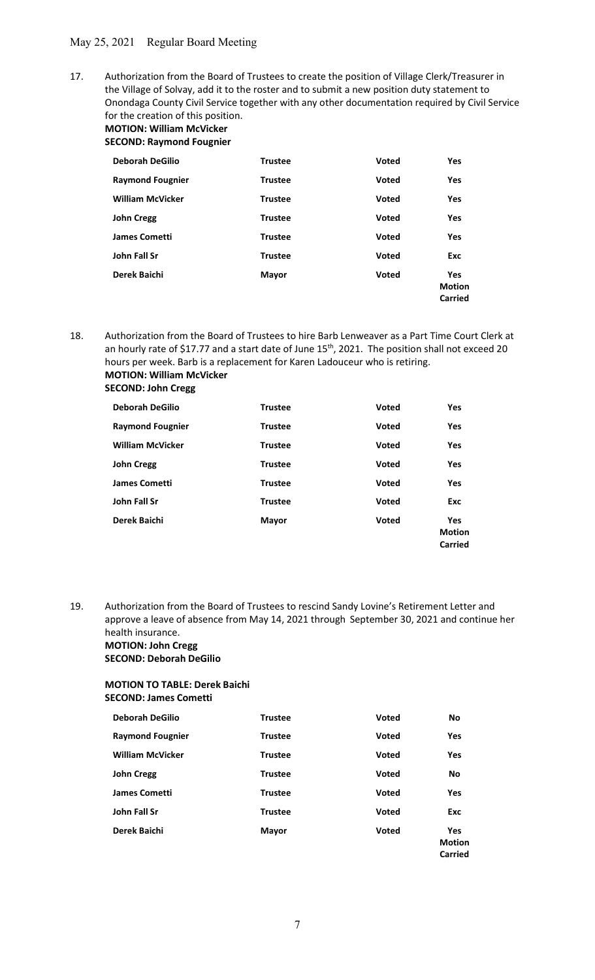17. Authorization from the Board of Trustees to create the position of Village Clerk/Treasurer in the Village of Solvay, add it to the roster and to submit a new position duty statement to Onondaga County Civil Service together with any other documentation required by Civil Service for the creation of this position. MOTION: William McVicker

SECOND: Raymond Fougnier

| <b>Deborah DeGilio</b>  | <b>Trustee</b> | <b>Voted</b> | Yes                                    |
|-------------------------|----------------|--------------|----------------------------------------|
| <b>Raymond Fougnier</b> | <b>Trustee</b> | <b>Voted</b> | Yes                                    |
| <b>William McVicker</b> | <b>Trustee</b> | <b>Voted</b> | Yes                                    |
| <b>John Cregg</b>       | <b>Trustee</b> | <b>Voted</b> | Yes                                    |
| <b>James Cometti</b>    | <b>Trustee</b> | <b>Voted</b> | Yes                                    |
| John Fall Sr            | <b>Trustee</b> | <b>Voted</b> | Exc                                    |
| Derek Baichi            | <b>Mayor</b>   | <b>Voted</b> | Yes<br><b>Motion</b><br><b>Carried</b> |

18. Authorization from the Board of Trustees to hire Barb Lenweaver as a Part Time Court Clerk at an hourly rate of \$17.77 and a start date of June 15<sup>th</sup>, 2021. The position shall not exceed 20 hours per week. Barb is a replacement for Karen Ladouceur who is retiring. MOTION: William McVicker SECOND: John Cregg

| <b>Deborah DeGilio</b>  | <b>Trustee</b> | <b>Voted</b> | <b>Yes</b>                             |
|-------------------------|----------------|--------------|----------------------------------------|
| <b>Raymond Fougnier</b> | <b>Trustee</b> | <b>Voted</b> | Yes                                    |
| <b>William McVicker</b> | <b>Trustee</b> | <b>Voted</b> | <b>Yes</b>                             |
| <b>John Cregg</b>       | <b>Trustee</b> | <b>Voted</b> | <b>Yes</b>                             |
| <b>James Cometti</b>    | <b>Trustee</b> | Voted        | <b>Yes</b>                             |
| John Fall Sr            | <b>Trustee</b> | <b>Voted</b> | Exc                                    |
| Derek Baichi            | Mayor          | <b>Voted</b> | Yes<br><b>Motion</b><br><b>Carried</b> |

19. Authorization from the Board of Trustees to rescind Sandy Lovine's Retirement Letter and approve a leave of absence from May 14, 2021 through September 30, 2021 and continue her health insurance. MOTION: John Cregg

SECOND: Deborah DeGilio

# MOTION TO TABLE: Derek Baichi SECOND: James Cometti

| <b>Deborah DeGilio</b>  | <b>Trustee</b> | <b>Voted</b> | No                              |
|-------------------------|----------------|--------------|---------------------------------|
| <b>Raymond Fougnier</b> | <b>Trustee</b> | <b>Voted</b> | Yes                             |
| <b>William McVicker</b> | <b>Trustee</b> | <b>Voted</b> | <b>Yes</b>                      |
| <b>John Cregg</b>       | <b>Trustee</b> | <b>Voted</b> | <b>No</b>                       |
| <b>James Cometti</b>    | <b>Trustee</b> | <b>Voted</b> | Yes                             |
| John Fall Sr            | <b>Trustee</b> | <b>Voted</b> | <b>Exc</b>                      |
| Derek Baichi            | <b>Mayor</b>   | <b>Voted</b> | Yes<br><b>Motion</b><br>Carried |